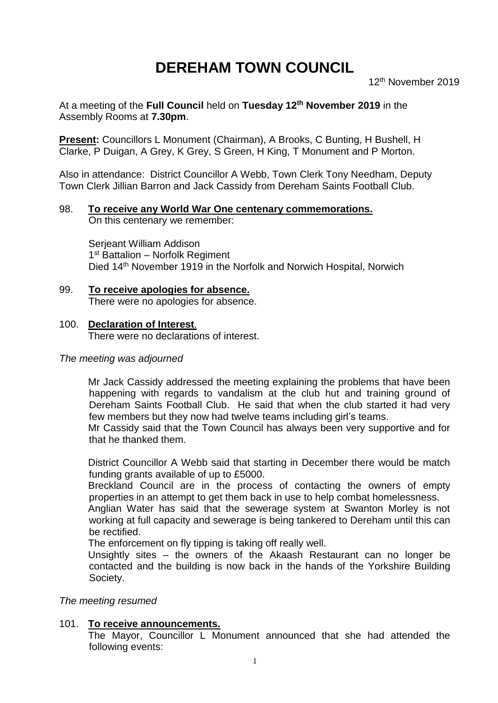# **DEREHAM TOWN COUNCIL**

At a meeting of the **Full Council** held on **Tuesday 12th November 2019** in the Assembly Rooms at **7.30pm**.

**Present: Councillors L Monument (Chairman), A Brooks, C Bunting, H Bushell, H** Clarke, P Duigan, A Grey, K Grey, S Green, H King, T Monument and P Morton.

Also in attendance: District Councillor A Webb, Town Clerk Tony Needham, Deputy Town Clerk Jillian Barron and Jack Cassidy from Dereham Saints Football Club.

# 98. **To receive any World War One centenary commemorations.**

On this centenary we remember:

Serjeant William Addison 1<sup>st</sup> Battalion - Norfolk Regiment Died 14<sup>th</sup> November 1919 in the Norfolk and Norwich Hospital, Norwich

99. **To receive apologies for absence.** There were no apologies for absence.

#### 100. **Declaration of Interest**.

There were no declarations of interest.

#### *The meeting was adjourned*

Mr Jack Cassidy addressed the meeting explaining the problems that have been happening with regards to vandalism at the club hut and training ground of Dereham Saints Football Club. He said that when the club started it had very few members but they now had twelve teams including girl's teams.

Mr Cassidy said that the Town Council has always been very supportive and for that he thanked them.

District Councillor A Webb said that starting in December there would be match funding grants available of up to £5000.

Breckland Council are in the process of contacting the owners of empty properties in an attempt to get them back in use to help combat homelessness.

Anglian Water has said that the sewerage system at Swanton Morley is not working at full capacity and sewerage is being tankered to Dereham until this can be rectified.

The enforcement on fly tipping is taking off really well.

Unsightly sites – the owners of the Akaash Restaurant can no longer be contacted and the building is now back in the hands of the Yorkshire Building Society.

*The meeting resumed*

#### 101. **To receive announcements.**

The Mayor, Councillor L Monument announced that she had attended the following events: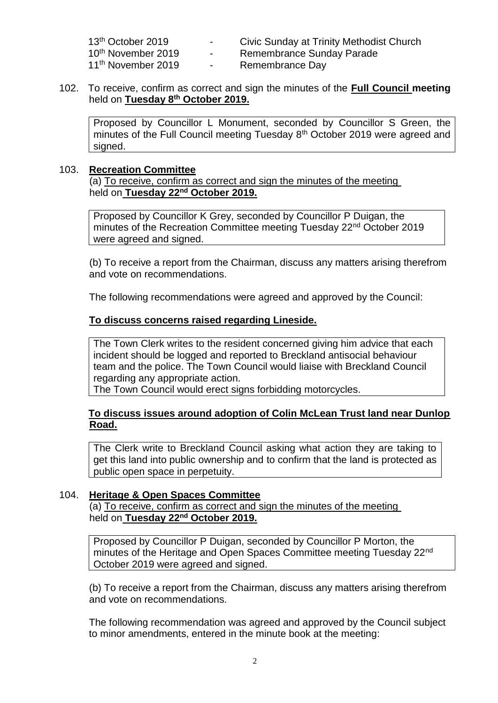| 13 <sup>th</sup> October 2019  | Civic Sunday at Trinity Methodist Church |
|--------------------------------|------------------------------------------|
| 10 <sup>th</sup> November 2019 | Remembrance Sunday Parade                |

11<sup>th</sup> November 2019 - Remembrance Day

- 
- 
- 102. To receive, confirm as correct and sign the minutes of the **Full Council meeting** held on **Tuesday 8 th October 2019.**

Proposed by Councillor L Monument, seconded by Councillor S Green, the minutes of the Full Council meeting Tuesday 8<sup>th</sup> October 2019 were agreed and signed.

#### 103. **Recreation Committee**

(a) To receive, confirm as correct and sign the minutes of the meeting held on **Tuesday 22nd October 2019.**

Proposed by Councillor K Grey, seconded by Councillor P Duigan, the minutes of the Recreation Committee meeting Tuesday 22<sup>nd</sup> October 2019 were agreed and signed.

(b) To receive a report from the Chairman, discuss any matters arising therefrom and vote on recommendations.

The following recommendations were agreed and approved by the Council:

#### **To discuss concerns raised regarding Lineside.**

The Town Clerk writes to the resident concerned giving him advice that each incident should be logged and reported to Breckland antisocial behaviour team and the police. The Town Council would liaise with Breckland Council regarding any appropriate action.

The Town Council would erect signs forbidding motorcycles.

#### **To discuss issues around adoption of Colin McLean Trust land near Dunlop Road.**

The Clerk write to Breckland Council asking what action they are taking to get this land into public ownership and to confirm that the land is protected as public open space in perpetuity.

#### 104. **Heritage & Open Spaces Committee**

(a) To receive, confirm as correct and sign the minutes of the meeting held on **Tuesday 22nd October 2019.**

Proposed by Councillor P Duigan, seconded by Councillor P Morton, the minutes of the Heritage and Open Spaces Committee meeting Tuesday 22nd October 2019 were agreed and signed.

(b) To receive a report from the Chairman, discuss any matters arising therefrom and vote on recommendations.

The following recommendation was agreed and approved by the Council subject to minor amendments, entered in the minute book at the meeting: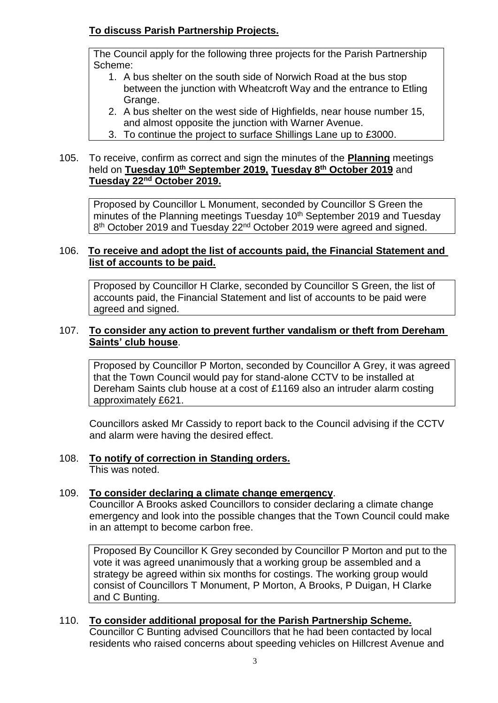# **To discuss Parish Partnership Projects.**

The Council apply for the following three projects for the Parish Partnership Scheme:

- 1. A bus shelter on the south side of Norwich Road at the bus stop between the junction with Wheatcroft Way and the entrance to Etling Grange.
- 2. A bus shelter on the west side of Highfields, near house number 15, and almost opposite the junction with Warner Avenue.
- 3. To continue the project to surface Shillings Lane up to £3000.

### 105. To receive, confirm as correct and sign the minutes of the **Planning** meetings held on **Tuesday 10th September 2019, Tuesday 8th October 2019** and **Tuesday 22nd October 2019.**

Proposed by Councillor L Monument, seconded by Councillor S Green the minutes of the Planning meetings Tuesday 10<sup>th</sup> September 2019 and Tuesday 8<sup>th</sup> October 2019 and Tuesday 22<sup>nd</sup> October 2019 were agreed and signed.

### 106. **To receive and adopt the list of accounts paid, the Financial Statement and list of accounts to be paid.**

Proposed by Councillor H Clarke, seconded by Councillor S Green, the list of accounts paid, the Financial Statement and list of accounts to be paid were agreed and signed.

#### 107. **To consider any action to prevent further vandalism or theft from Dereham Saints' club house**.

Proposed by Councillor P Morton, seconded by Councillor A Grey, it was agreed that the Town Council would pay for stand-alone CCTV to be installed at Dereham Saints club house at a cost of £1169 also an intruder alarm costing approximately £621.

Councillors asked Mr Cassidy to report back to the Council advising if the CCTV and alarm were having the desired effect.

# 108. **To notify of correction in Standing orders.**

This was noted.

### 109. **To consider declaring a climate change emergency**.

Councillor A Brooks asked Councillors to consider declaring a climate change emergency and look into the possible changes that the Town Council could make in an attempt to become carbon free.

Proposed By Councillor K Grey seconded by Councillor P Morton and put to the vote it was agreed unanimously that a working group be assembled and a strategy be agreed within six months for costings. The working group would consist of Councillors T Monument, P Morton, A Brooks, P Duigan, H Clarke and C Bunting.

#### 110. **To consider additional proposal for the Parish Partnership Scheme.** Councillor C Bunting advised Councillors that he had been contacted by local

residents who raised concerns about speeding vehicles on Hillcrest Avenue and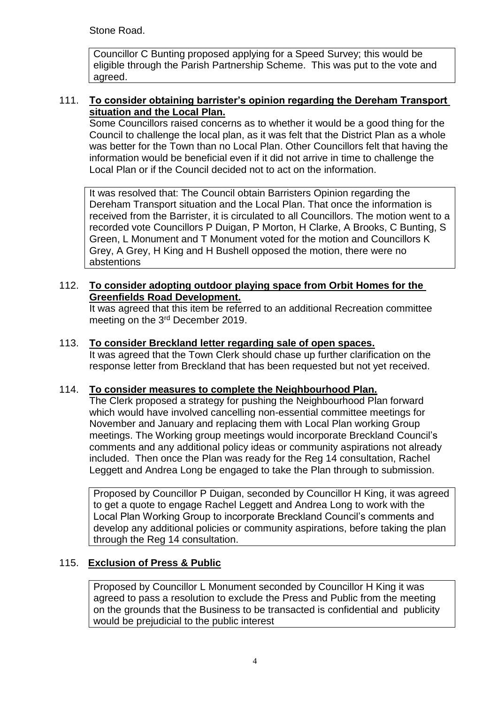Stone Road.

Councillor C Bunting proposed applying for a Speed Survey; this would be eligible through the Parish Partnership Scheme. This was put to the vote and agreed.

#### 111. **To consider obtaining barrister's opinion regarding the Dereham Transport situation and the Local Plan.**

Some Councillors raised concerns as to whether it would be a good thing for the Council to challenge the local plan, as it was felt that the District Plan as a whole was better for the Town than no Local Plan. Other Councillors felt that having the information would be beneficial even if it did not arrive in time to challenge the Local Plan or if the Council decided not to act on the information.

It was resolved that: The Council obtain Barristers Opinion regarding the Dereham Transport situation and the Local Plan. That once the information is received from the Barrister, it is circulated to all Councillors. The motion went to a recorded vote Councillors P Duigan, P Morton, H Clarke, A Brooks, C Bunting, S Green, L Monument and T Monument voted for the motion and Councillors K Grey, A Grey, H King and H Bushell opposed the motion, there were no abstentions

#### 112. **To consider adopting outdoor playing space from Orbit Homes for the Greenfields Road Development.**

It was agreed that this item be referred to an additional Recreation committee meeting on the 3rd December 2019.

#### 113. **To consider Breckland letter regarding sale of open spaces.**

It was agreed that the Town Clerk should chase up further clarification on the response letter from Breckland that has been requested but not yet received.

#### 114. **To consider measures to complete the Neighbourhood Plan.**

The Clerk proposed a strategy for pushing the Neighbourhood Plan forward which would have involved cancelling non-essential committee meetings for November and January and replacing them with Local Plan working Group meetings. The Working group meetings would incorporate Breckland Council's comments and any additional policy ideas or community aspirations not already included. Then once the Plan was ready for the Reg 14 consultation, Rachel Leggett and Andrea Long be engaged to take the Plan through to submission.

Proposed by Councillor P Duigan, seconded by Councillor H King, it was agreed to get a quote to engage Rachel Leggett and Andrea Long to work with the Local Plan Working Group to incorporate Breckland Council's comments and develop any additional policies or community aspirations, before taking the plan through the Reg 14 consultation.

#### 115. **Exclusion of Press & Public**

Proposed by Councillor L Monument seconded by Councillor H King it was agreed to pass a resolution to exclude the Press and Public from the meeting on the grounds that the Business to be transacted is confidential and publicity would be prejudicial to the public interest